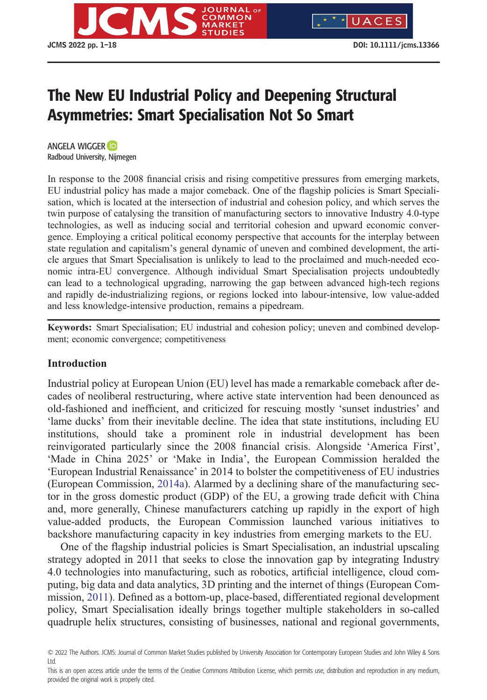

# The New EU Industrial Policy and Deepening Structural Asymmetries: Smart Specialisation Not So Smart

ANGELA WIGGER Radboud University, Nijmegen

In response to the 2008 financial crisis and rising competitive pressures from emerging markets, EU industrial policy has made a major comeback. One of the flagship policies is Smart Specialisation, which is located at the intersection of industrial and cohesion policy, and which serves the twin purpose of catalysing the transition of manufacturing sectors to innovative Industry 4.0-type technologies, as well as inducing social and territorial cohesion and upward economic convergence. Employing a critical political economy perspective that accounts for the interplay between state regulation and capitalism's general dynamic of uneven and combined development, the article argues that Smart Specialisation is unlikely to lead to the proclaimed and much-needed economic intra-EU convergence. Although individual Smart Specialisation projects undoubtedly can lead to a technological upgrading, narrowing the gap between advanced high-tech regions and rapidly de-industrializing regions, or regions locked into labour-intensive, low value-added and less knowledge-intensive production, remains a pipedream.

**Keywords:** Smart Specialisation; EU industrial and cohesion policy; uneven and combined development; economic convergence; competitiveness

## **Introduction**

Industrial policy at European Union (EU) level has made a remarkable comeback after decades of neoliberal restructuring, where active state intervention had been denounced as old-fashioned and inefficient, and criticized for rescuing mostly 'sunset industries' and 'lame ducks' from their inevitable decline. The idea that state institutions, including EU institutions, should take a prominent role in industrial development has been reinvigorated particularly since the 2008 financial crisis. Alongside 'America First', 'Made in China 2025' or 'Make in India', the European Commission heralded the 'European Industrial Renaissance' in 2014 to bolster the competitiveness of EU industries (European Commission, [2014a](#page-15-0)). Alarmed by a declining share of the manufacturing sector in the gross domestic product (GDP) of the EU, a growing trade deficit with China and, more generally, Chinese manufacturers catching up rapidly in the export of high value-added products, the European Commission launched various initiatives to backshore manufacturing capacity in key industries from emerging markets to the EU.

One of the flagship industrial policies is Smart Specialisation, an industrial upscaling strategy adopted in 2011 that seeks to close the innovation gap by integrating Industry 4.0 technologies into manufacturing, such as robotics, artificial intelligence, cloud computing, big data and data analytics, 3D printing and the internet of things (European Commission, [2011](#page-14-0)). Defined as a bottom-up, place-based, differentiated regional development policy, Smart Specialisation ideally brings together multiple stakeholders in so-called quadruple helix structures, consisting of businesses, national and regional governments,

<sup>© 2022</sup> The Authors. JCMS: Journal of Common Market Studies published by University Association for Contemporary European Studies and John Wiley & Sons Ltd.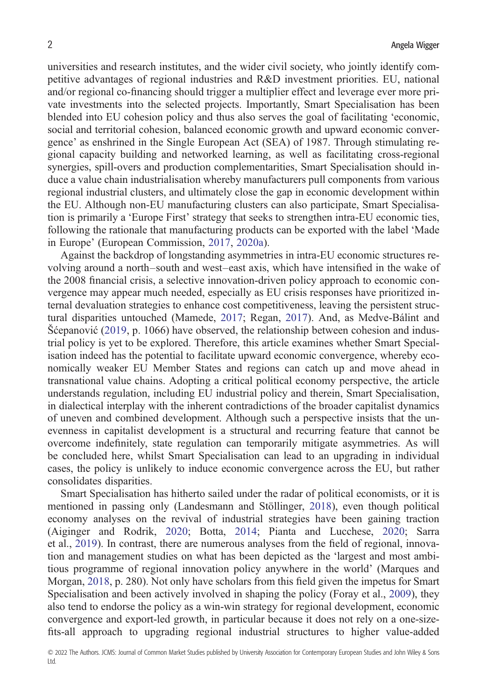universities and research institutes, and the wider civil society, who jointly identify competitive advantages of regional industries and R&D investment priorities. EU, national and/or regional co-financing should trigger a multiplier effect and leverage ever more private investments into the selected projects. Importantly, Smart Specialisation has been blended into EU cohesion policy and thus also serves the goal of facilitating 'economic, social and territorial cohesion, balanced economic growth and upward economic convergence' as enshrined in the Single European Act (SEA) of 1987. Through stimulating regional capacity building and networked learning, as well as facilitating cross-regional synergies, spill-overs and production complementarities, Smart Specialisation should induce a value chain industrialisation whereby manufacturers pull components from various regional industrial clusters, and ultimately close the gap in economic development within the EU. Although non-EU manufacturing clusters can also participate, Smart Specialisation is primarily a 'Europe First' strategy that seeks to strengthen intra-EU economic ties, following the rationale that manufacturing products can be exported with the label 'Made in Europe' (European Commission, [2017](#page-15-0), [2020a](#page-15-0)).

Against the backdrop of longstanding asymmetries in intra-EU economic structures revolving around a north–south and west–east axis, which have intensified in the wake of the 2008 financial crisis, a selective innovation-driven policy approach to economic convergence may appear much needed, especially as EU crisis responses have prioritized internal devaluation strategies to enhance cost competitiveness, leaving the persistent structural disparities untouched (Mamede, [2017;](#page-16-0) Regan, [2017](#page-16-0)). And, as Medve-Bálint and Šćepanović [\(2019](#page-16-0), p. 1066) have observed, the relationship between cohesion and industrial policy is yet to be explored. Therefore, this article examines whether Smart Specialisation indeed has the potential to facilitate upward economic convergence, whereby economically weaker EU Member States and regions can catch up and move ahead in transnational value chains. Adopting a critical political economy perspective, the article understands regulation, including EU industrial policy and therein, Smart Specialisation, in dialectical interplay with the inherent contradictions of the broader capitalist dynamics of uneven and combined development. Although such a perspective insists that the unevenness in capitalist development is a structural and recurring feature that cannot be overcome indefinitely, state regulation can temporarily mitigate asymmetries. As will be concluded here, whilst Smart Specialisation can lead to an upgrading in individual cases, the policy is unlikely to induce economic convergence across the EU, but rather consolidates disparities.

Smart Specialisation has hitherto sailed under the radar of political economists, or it is mentioned in passing only (Landesmann and Stöllinger, [2018](#page-16-0)), even though political economy analyses on the revival of industrial strategies have been gaining traction (Aiginger and Rodrik, [2020;](#page-13-0) Botta, [2014;](#page-13-0) Pianta and Lucchese, [2020;](#page-16-0) Sarra et al., [2019\)](#page-17-0). In contrast, there are numerous analyses from the field of regional, innovation and management studies on what has been depicted as the 'largest and most ambitious programme of regional innovation policy anywhere in the world' (Marques and Morgan, [2018](#page-16-0), p. 280). Not only have scholars from this field given the impetus for Smart Specialisation and been actively involved in shaping the policy (Foray et al., [2009](#page-15-0)), they also tend to endorse the policy as a win-win strategy for regional development, economic convergence and export-led growth, in particular because it does not rely on a one-sizefits-all approach to upgrading regional industrial structures to higher value-added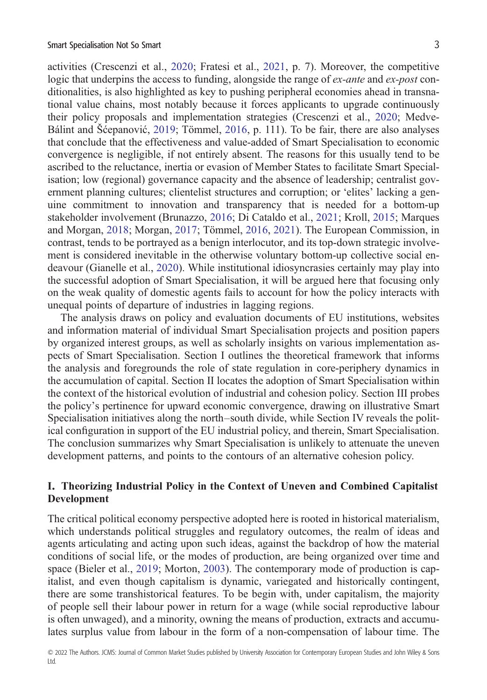activities (Crescenzi et al., [2020](#page-14-0); Fratesi et al., [2021](#page-15-0), p. 7). Moreover, the competitive logic that underpins the access to funding, alongside the range of *ex-ante* and *ex-post* conditionalities, is also highlighted as key to pushing peripheral economies ahead in transnational value chains, most notably because it forces applicants to upgrade continuously their policy proposals and implementation strategies (Crescenzi et al., [2020](#page-14-0); Medve-Bálint and Šćepanović, [2019;](#page-16-0) Tömmel, [2016,](#page-17-0) p. 111). To be fair, there are also analyses that conclude that the effectiveness and value-added of Smart Specialisation to economic convergence is negligible, if not entirely absent. The reasons for this usually tend to be ascribed to the reluctance, inertia or evasion of Member States to facilitate Smart Specialisation; low (regional) governance capacity and the absence of leadership; centralist government planning cultures; clientelist structures and corruption; or 'elites' lacking a genuine commitment to innovation and transparency that is needed for a bottom-up stakeholder involvement (Brunazzo, [2016](#page-14-0); Di Cataldo et al., [2021;](#page-14-0) Kroll, [2015](#page-16-0); Marques and Morgan, [2018](#page-16-0); Morgan, [2017](#page-16-0); Tömmel, [2016,](#page-17-0) [2021](#page-16-0)). The European Commission, in contrast, tends to be portrayed as a benign interlocutor, and its top-down strategic involvement is considered inevitable in the otherwise voluntary bottom-up collective social endeavour (Gianelle et al., [2020\)](#page-15-0). While institutional idiosyncrasies certainly may play into the successful adoption of Smart Specialisation, it will be argued here that focusing only on the weak quality of domestic agents fails to account for how the policy interacts with unequal points of departure of industries in lagging regions.

The analysis draws on policy and evaluation documents of EU institutions, websites and information material of individual Smart Specialisation projects and position papers by organized interest groups, as well as scholarly insights on various implementation aspects of Smart Specialisation. Section I outlines the theoretical framework that informs the analysis and foregrounds the role of state regulation in core-periphery dynamics in the accumulation of capital. Section II locates the adoption of Smart Specialisation within the context of the historical evolution of industrial and cohesion policy. Section III probes the policy's pertinence for upward economic convergence, drawing on illustrative Smart Specialisation initiatives along the north–south divide, while Section IV reveals the political configuration in support of the EU industrial policy, and therein, Smart Specialisation. The conclusion summarizes why Smart Specialisation is unlikely to attenuate the uneven development patterns, and points to the contours of an alternative cohesion policy.

## **I. Theorizing Industrial Policy in the Context of Uneven and Combined Capitalist Development**

The critical political economy perspective adopted here is rooted in historical materialism, which understands political struggles and regulatory outcomes, the realm of ideas and agents articulating and acting upon such ideas, against the backdrop of how the material conditions of social life, or the modes of production, are being organized over time and space (Bieler et al., [2019](#page-13-0); Morton, [2003](#page-16-0)). The contemporary mode of production is capitalist, and even though capitalism is dynamic, variegated and historically contingent, there are some transhistorical features. To be begin with, under capitalism, the majority of people sell their labour power in return for a wage (while social reproductive labour is often unwaged), and a minority, owning the means of production, extracts and accumulates surplus value from labour in the form of a non-compensation of labour time. The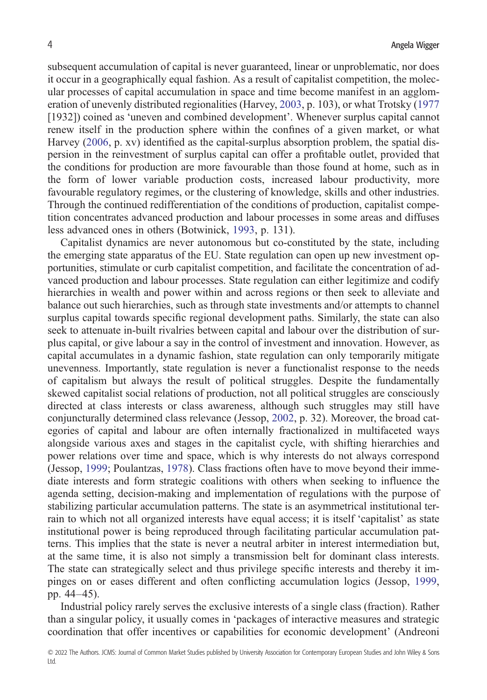subsequent accumulation of capital is never guaranteed, linear or unproblematic, nor does it occur in a geographically equal fashion. As a result of capitalist competition, the molecular processes of capital accumulation in space and time become manifest in an agglomeration of unevenly distributed regionalities (Harvey, [2003](#page-15-0), p. 103), or what Trotsky [\(1977](#page-17-0) [1932]) coined as 'uneven and combined development'. Whenever surplus capital cannot renew itself in the production sphere within the confines of a given market, or what Harvey ([2006,](#page-15-0) p. xv) identified as the capital-surplus absorption problem, the spatial dispersion in the reinvestment of surplus capital can offer a profitable outlet, provided that the conditions for production are more favourable than those found at home, such as in the form of lower variable production costs, increased labour productivity, more favourable regulatory regimes, or the clustering of knowledge, skills and other industries. Through the continued redifferentiation of the conditions of production, capitalist competition concentrates advanced production and labour processes in some areas and diffuses less advanced ones in others (Botwinick, [1993](#page-14-0), p. 131).

Capitalist dynamics are never autonomous but co-constituted by the state, including the emerging state apparatus of the EU. State regulation can open up new investment opportunities, stimulate or curb capitalist competition, and facilitate the concentration of advanced production and labour processes. State regulation can either legitimize and codify hierarchies in wealth and power within and across regions or then seek to alleviate and balance out such hierarchies, such as through state investments and/or attempts to channel surplus capital towards specific regional development paths. Similarly, the state can also seek to attenuate in-built rivalries between capital and labour over the distribution of surplus capital, or give labour a say in the control of investment and innovation. However, as capital accumulates in a dynamic fashion, state regulation can only temporarily mitigate unevenness. Importantly, state regulation is never a functionalist response to the needs of capitalism but always the result of political struggles. Despite the fundamentally skewed capitalist social relations of production, not all political struggles are consciously directed at class interests or class awareness, although such struggles may still have conjuncturally determined class relevance (Jessop, [2002,](#page-16-0) p. 32). Moreover, the broad categories of capital and labour are often internally fractionalized in multifaceted ways alongside various axes and stages in the capitalist cycle, with shifting hierarchies and power relations over time and space, which is why interests do not always correspond (Jessop, [1999;](#page-16-0) Poulantzas, [1978\)](#page-16-0). Class fractions often have to move beyond their immediate interests and form strategic coalitions with others when seeking to influence the agenda setting, decision-making and implementation of regulations with the purpose of stabilizing particular accumulation patterns. The state is an asymmetrical institutional terrain to which not all organized interests have equal access; it is itself 'capitalist' as state institutional power is being reproduced through facilitating particular accumulation patterns. This implies that the state is never a neutral arbiter in interest intermediation but, at the same time, it is also not simply a transmission belt for dominant class interests. The state can strategically select and thus privilege specific interests and thereby it impinges on or eases different and often conflicting accumulation logics (Jessop, [1999](#page-16-0), pp. 44–45).

Industrial policy rarely serves the exclusive interests of a single class (fraction). Rather than a singular policy, it usually comes in 'packages of interactive measures and strategic coordination that offer incentives or capabilities for economic development' (Andreoni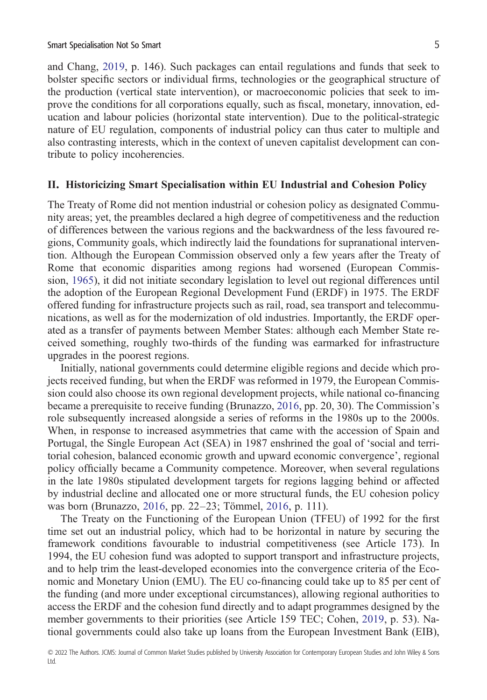and Chang, [2019](#page-13-0), p. 146). Such packages can entail regulations and funds that seek to bolster specific sectors or individual firms, technologies or the geographical structure of the production (vertical state intervention), or macroeconomic policies that seek to improve the conditions for all corporations equally, such as fiscal, monetary, innovation, education and labour policies (horizontal state intervention). Due to the political-strategic nature of EU regulation, components of industrial policy can thus cater to multiple and also contrasting interests, which in the context of uneven capitalist development can contribute to policy incoherencies.

#### **II. Historicizing Smart Specialisation within EU Industrial and Cohesion Policy**

The Treaty of Rome did not mention industrial or cohesion policy as designated Community areas; yet, the preambles declared a high degree of competitiveness and the reduction of differences between the various regions and the backwardness of the less favoured regions, Community goals, which indirectly laid the foundations for supranational intervention. Although the European Commission observed only a few years after the Treaty of Rome that economic disparities among regions had worsened (European Commission, [1965](#page-14-0)), it did not initiate secondary legislation to level out regional differences until the adoption of the European Regional Development Fund (ERDF) in 1975. The ERDF offered funding for infrastructure projects such as rail, road, sea transport and telecommunications, as well as for the modernization of old industries. Importantly, the ERDF operated as a transfer of payments between Member States: although each Member State received something, roughly two-thirds of the funding was earmarked for infrastructure upgrades in the poorest regions.

Initially, national governments could determine eligible regions and decide which projects received funding, but when the ERDF was reformed in 1979, the European Commission could also choose its own regional development projects, while national co-financing became a prerequisite to receive funding (Brunazzo, [2016,](#page-14-0) pp. 20, 30). The Commission's role subsequently increased alongside a series of reforms in the 1980s up to the 2000s. When, in response to increased asymmetries that came with the accession of Spain and Portugal, the Single European Act (SEA) in 1987 enshrined the goal of 'social and territorial cohesion, balanced economic growth and upward economic convergence', regional policy officially became a Community competence. Moreover, when several regulations in the late 1980s stipulated development targets for regions lagging behind or affected by industrial decline and allocated one or more structural funds, the EU cohesion policy was born (Brunazzo, [2016](#page-14-0), pp. 22–23; Tömmel, [2016](#page-17-0), p. 111).

The Treaty on the Functioning of the European Union (TFEU) of 1992 for the first time set out an industrial policy, which had to be horizontal in nature by securing the framework conditions favourable to industrial competitiveness (see Article 173). In 1994, the EU cohesion fund was adopted to support transport and infrastructure projects, and to help trim the least-developed economies into the convergence criteria of the Economic and Monetary Union (EMU). The EU co-financing could take up to 85 per cent of the funding (and more under exceptional circumstances), allowing regional authorities to access the ERDF and the cohesion fund directly and to adapt programmes designed by the member governments to their priorities (see Article 159 TEC; Cohen, [2019](#page-14-0), p. 53). National governments could also take up loans from the European Investment Bank (EIB),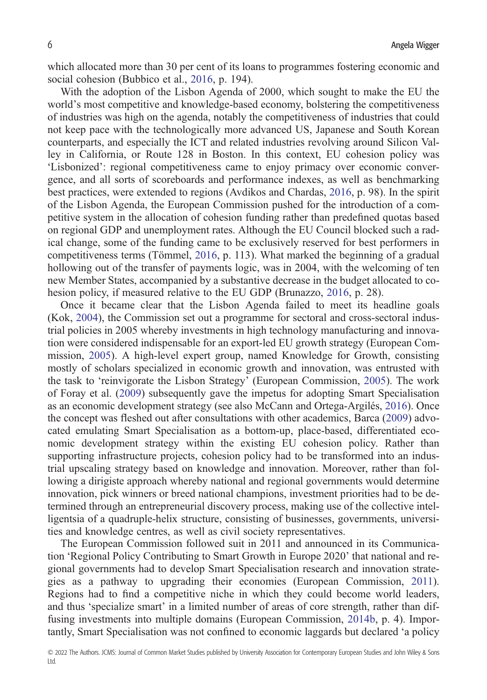which allocated more than 30 per cent of its loans to programmes fostering economic and social cohesion (Bubbico et al., [2016,](#page-14-0) p. 194).

With the adoption of the Lisbon Agenda of 2000, which sought to make the EU the world's most competitive and knowledge-based economy, bolstering the competitiveness of industries was high on the agenda, notably the competitiveness of industries that could not keep pace with the technologically more advanced US, Japanese and South Korean counterparts, and especially the ICT and related industries revolving around Silicon Valley in California, or Route 128 in Boston. In this context, EU cohesion policy was 'Lisbonized': regional competitiveness came to enjoy primacy over economic convergence, and all sorts of scoreboards and performance indexes, as well as benchmarking best practices, were extended to regions (Avdikos and Chardas, [2016,](#page-13-0) p. 98). In the spirit of the Lisbon Agenda, the European Commission pushed for the introduction of a competitive system in the allocation of cohesion funding rather than predefined quotas based on regional GDP and unemployment rates. Although the EU Council blocked such a radical change, some of the funding came to be exclusively reserved for best performers in competitiveness terms (Tömmel, [2016](#page-17-0), p. 113). What marked the beginning of a gradual hollowing out of the transfer of payments logic, was in 2004, with the welcoming of ten new Member States, accompanied by a substantive decrease in the budget allocated to cohesion policy, if measured relative to the EU GDP (Brunazzo, [2016](#page-14-0), p. 28).

Once it became clear that the Lisbon Agenda failed to meet its headline goals (Kok, [2004\)](#page-16-0), the Commission set out a programme for sectoral and cross-sectoral industrial policies in 2005 whereby investments in high technology manufacturing and innovation were considered indispensable for an export-led EU growth strategy (European Commission, [2005](#page-14-0)). A high-level expert group, named Knowledge for Growth, consisting mostly of scholars specialized in economic growth and innovation, was entrusted with the task to 'reinvigorate the Lisbon Strategy' (European Commission, [2005](#page-14-0)). The work of Foray et al. ([2009\)](#page-15-0) subsequently gave the impetus for adopting Smart Specialisation as an economic development strategy (see also McCann and Ortega-Argilés, [2016](#page-16-0)). Once the concept was fleshed out after consultations with other academics, Barca [\(2009](#page-13-0)) advocated emulating Smart Specialisation as a bottom-up, place-based, differentiated economic development strategy within the existing EU cohesion policy. Rather than supporting infrastructure projects, cohesion policy had to be transformed into an industrial upscaling strategy based on knowledge and innovation. Moreover, rather than following a dirigiste approach whereby national and regional governments would determine innovation, pick winners or breed national champions, investment priorities had to be determined through an entrepreneurial discovery process, making use of the collective intelligentsia of a quadruple-helix structure, consisting of businesses, governments, universities and knowledge centres, as well as civil society representatives.

The European Commission followed suit in 2011 and announced in its Communication 'Regional Policy Contributing to Smart Growth in Europe 2020' that national and regional governments had to develop Smart Specialisation research and innovation strategies as a pathway to upgrading their economies (European Commission, [2011\)](#page-14-0). Regions had to find a competitive niche in which they could become world leaders, and thus 'specialize smart' in a limited number of areas of core strength, rather than diffusing investments into multiple domains (European Commission, [2014b](#page-15-0), p. 4). Importantly, Smart Specialisation was not confined to economic laggards but declared 'a policy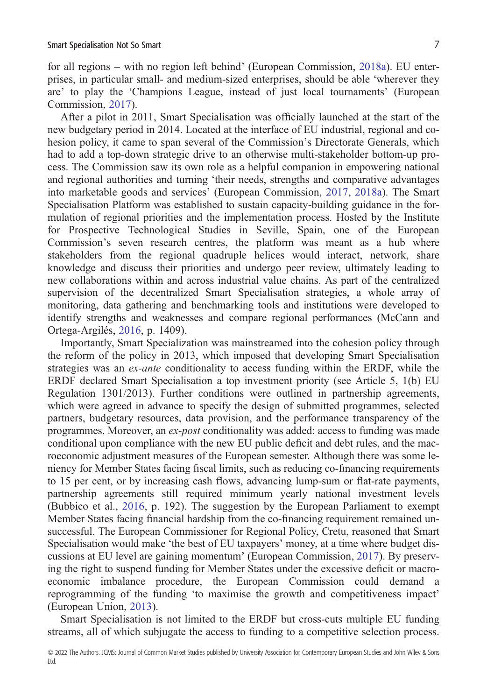for all regions – with no region left behind' (European Commission, [2018a](#page-15-0)). EU enterprises, in particular small- and medium-sized enterprises, should be able 'wherever they are' to play the 'Champions League, instead of just local tournaments' (European Commission, [2017\)](#page-15-0).

After a pilot in 2011, Smart Specialisation was officially launched at the start of the new budgetary period in 2014. Located at the interface of EU industrial, regional and cohesion policy, it came to span several of the Commission's Directorate Generals, which had to add a top-down strategic drive to an otherwise multi-stakeholder bottom-up process. The Commission saw its own role as a helpful companion in empowering national and regional authorities and turning 'their needs, strengths and comparative advantages into marketable goods and services' (European Commission, [2017,](#page-15-0) [2018a](#page-15-0)). The Smart Specialisation Platform was established to sustain capacity-building guidance in the formulation of regional priorities and the implementation process. Hosted by the Institute for Prospective Technological Studies in Seville, Spain, one of the European Commission's seven research centres, the platform was meant as a hub where stakeholders from the regional quadruple helices would interact, network, share knowledge and discuss their priorities and undergo peer review, ultimately leading to new collaborations within and across industrial value chains. As part of the centralized supervision of the decentralized Smart Specialisation strategies, a whole array of monitoring, data gathering and benchmarking tools and institutions were developed to identify strengths and weaknesses and compare regional performances (McCann and Ortega-Argilés, [2016](#page-16-0), p. 1409).

Importantly, Smart Specialization was mainstreamed into the cohesion policy through the reform of the policy in 2013, which imposed that developing Smart Specialisation strategies was an *ex-ante* conditionality to access funding within the ERDF, while the ERDF declared Smart Specialisation a top investment priority (see Article 5, 1(b) EU Regulation 1301/2013). Further conditions were outlined in partnership agreements, which were agreed in advance to specify the design of submitted programmes, selected partners, budgetary resources, data provision, and the performance transparency of the programmes. Moreover, an *ex-post* conditionality was added: access to funding was made conditional upon compliance with the new EU public deficit and debt rules, and the macroeconomic adjustment measures of the European semester. Although there was some leniency for Member States facing fiscal limits, such as reducing co-financing requirements to 15 per cent, or by increasing cash flows, advancing lump-sum or flat-rate payments, partnership agreements still required minimum yearly national investment levels (Bubbico et al., [2016,](#page-14-0) p. 192). The suggestion by the European Parliament to exempt Member States facing financial hardship from the co-financing requirement remained unsuccessful. The European Commissioner for Regional Policy, Cretu, reasoned that Smart Specialisation would make 'the best of EU taxpayers' money, at a time where budget discussions at EU level are gaining momentum' (European Commission, [2017](#page-15-0)). By preserving the right to suspend funding for Member States under the excessive deficit or macroeconomic imbalance procedure, the European Commission could demand a reprogramming of the funding 'to maximise the growth and competitiveness impact' (European Union, [2013](#page-15-0)).

Smart Specialisation is not limited to the ERDF but cross-cuts multiple EU funding streams, all of which subjugate the access to funding to a competitive selection process.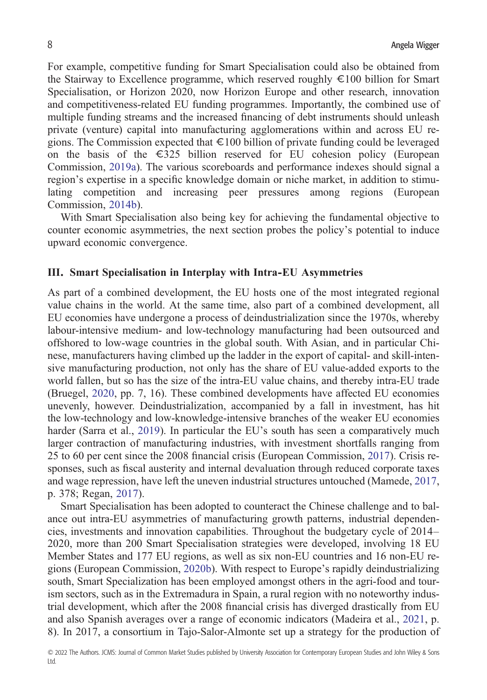For example, competitive funding for Smart Specialisation could also be obtained from the Stairway to Excellence programme, which reserved roughly €100 billion for Smart Specialisation, or Horizon 2020, now Horizon Europe and other research, innovation and competitiveness-related EU funding programmes. Importantly, the combined use of multiple funding streams and the increased financing of debt instruments should unleash private (venture) capital into manufacturing agglomerations within and across EU regions. The Commission expected that  $\epsilon$ 100 billion of private funding could be leveraged on the basis of the  $\epsilon$ 325 billion reserved for EU cohesion policy (European Commission, [2019a](#page-15-0)). The various scoreboards and performance indexes should signal a region's expertise in a specific knowledge domain or niche market, in addition to stimulating competition and increasing peer pressures among regions (European Commission, [2014b](#page-15-0)).

With Smart Specialisation also being key for achieving the fundamental objective to counter economic asymmetries, the next section probes the policy's potential to induce upward economic convergence.

#### **III. Smart Specialisation in Interplay with Intra-EU Asymmetries**

As part of a combined development, the EU hosts one of the most integrated regional value chains in the world. At the same time, also part of a combined development, all EU economies have undergone a process of deindustrialization since the 1970s, whereby labour-intensive medium- and low-technology manufacturing had been outsourced and offshored to low-wage countries in the global south. With Asian, and in particular Chinese, manufacturers having climbed up the ladder in the export of capital- and skill-intensive manufacturing production, not only has the share of EU value-added exports to the world fallen, but so has the size of the intra-EU value chains, and thereby intra-EU trade (Bruegel, [2020,](#page-14-0) pp. 7, 16). These combined developments have affected EU economies unevenly, however. Deindustrialization, accompanied by a fall in investment, has hit the low-technology and low-knowledge-intensive branches of the weaker EU economies harder (Sarra et al., [2019](#page-17-0)). In particular the EU's south has seen a comparatively much larger contraction of manufacturing industries, with investment shortfalls ranging from 25 to 60 per cent since the 2008 financial crisis (European Commission, [2017\)](#page-15-0). Crisis responses, such as fiscal austerity and internal devaluation through reduced corporate taxes and wage repression, have left the uneven industrial structures untouched (Mamede, [2017,](#page-16-0) p. 378; Regan, [2017\)](#page-16-0).

Smart Specialisation has been adopted to counteract the Chinese challenge and to balance out intra-EU asymmetries of manufacturing growth patterns, industrial dependencies, investments and innovation capabilities. Throughout the budgetary cycle of 2014– 2020, more than 200 Smart Specialisation strategies were developed, involving 18 EU Member States and 177 EU regions, as well as six non-EU countries and 16 non-EU regions (European Commission, [2020b](#page-15-0)). With respect to Europe's rapidly deindustrializing south, Smart Specialization has been employed amongst others in the agri-food and tourism sectors, such as in the Extremadura in Spain, a rural region with no noteworthy industrial development, which after the 2008 financial crisis has diverged drastically from EU and also Spanish averages over a range of economic indicators (Madeira et al., [2021,](#page-16-0) p. 8). In 2017, a consortium in Tajo-Salor-Almonte set up a strategy for the production of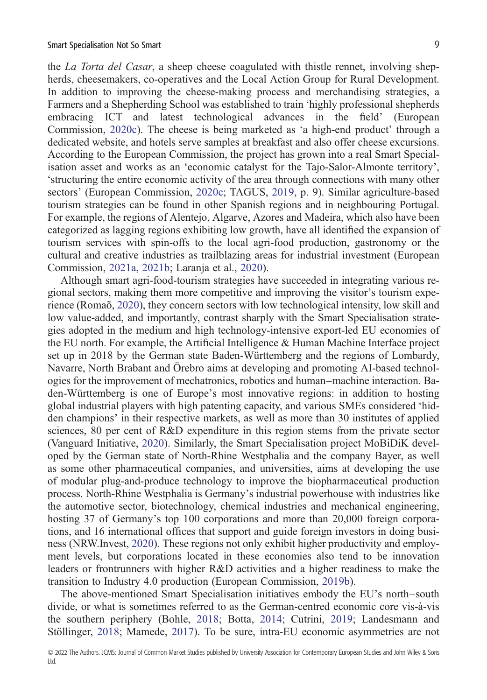the *La Torta del Casar*, a sheep cheese coagulated with thistle rennet, involving shepherds, cheesemakers, co-operatives and the Local Action Group for Rural Development. In addition to improving the cheese-making process and merchandising strategies, a Farmers and a Shepherding School was established to train 'highly professional shepherds embracing ICT and latest technological advances in the field' (European Commission, [2020c](#page-15-0)). The cheese is being marketed as 'a high-end product' through a dedicated website, and hotels serve samples at breakfast and also offer cheese excursions. According to the European Commission, the project has grown into a real Smart Specialisation asset and works as an 'economic catalyst for the Tajo-Salor-Almonte territory', 'structuring the entire economic activity of the area through connections with many other sectors' (European Commission, [2020c](#page-15-0); TAGUS, [2019,](#page-17-0) p. 9). Similar agriculture-based tourism strategies can be found in other Spanish regions and in neighbouring Portugal. For example, the regions of Alentejo, Algarve, Azores and Madeira, which also have been categorized as lagging regions exhibiting low growth, have all identified the expansion of tourism services with spin-offs to the local agri-food production, gastronomy or the cultural and creative industries as trailblazing areas for industrial investment (European Commission, [2021a](#page-15-0), [2021b;](#page-15-0) Laranja et al., [2020](#page-16-0)).

Although smart agri-food-tourism strategies have succeeded in integrating various regional sectors, making them more competitive and improving the visitor's tourism experience (Romaõ, [2020\)](#page-16-0), they concern sectors with low technological intensity, low skill and low value-added, and importantly, contrast sharply with the Smart Specialisation strategies adopted in the medium and high technology-intensive export-led EU economies of the EU north. For example, the Artificial Intelligence & Human Machine Interface project set up in 2018 by the German state Baden-Württemberg and the regions of Lombardy, Navarre, North Brabant and Örebro aims at developing and promoting AI-based technologies for the improvement of mechatronics, robotics and human–machine interaction. Baden-Württemberg is one of Europe's most innovative regions: in addition to hosting global industrial players with high patenting capacity, and various SMEs considered 'hidden champions' in their respective markets, as well as more than 30 institutes of applied sciences, 80 per cent of R&D expenditure in this region stems from the private sector (Vanguard Initiative, [2020](#page-17-0)). Similarly, the Smart Specialisation project MoBiDiK developed by the German state of North-Rhine Westphalia and the company Bayer, as well as some other pharmaceutical companies, and universities, aims at developing the use of modular plug-and-produce technology to improve the biopharmaceutical production process. North-Rhine Westphalia is Germany's industrial powerhouse with industries like the automotive sector, biotechnology, chemical industries and mechanical engineering, hosting 37 of Germany's top 100 corporations and more than 20,000 foreign corporations, and 16 international offices that support and guide foreign investors in doing business (NRW.Invest, [2020\)](#page-16-0). These regions not only exhibit higher productivity and employment levels, but corporations located in these economies also tend to be innovation leaders or frontrunners with higher R&D activities and a higher readiness to make the transition to Industry 4.0 production (European Commission, [2019b](#page-15-0)).

The above-mentioned Smart Specialisation initiatives embody the EU's north–south divide, or what is sometimes referred to as the German-centred economic core vis-à-vis the southern periphery (Bohle, [2018;](#page-13-0) Botta, [2014;](#page-13-0) Cutrini, [2019;](#page-14-0) Landesmann and Stöllinger, [2018;](#page-16-0) Mamede, [2017\)](#page-16-0). To be sure, intra-EU economic asymmetries are not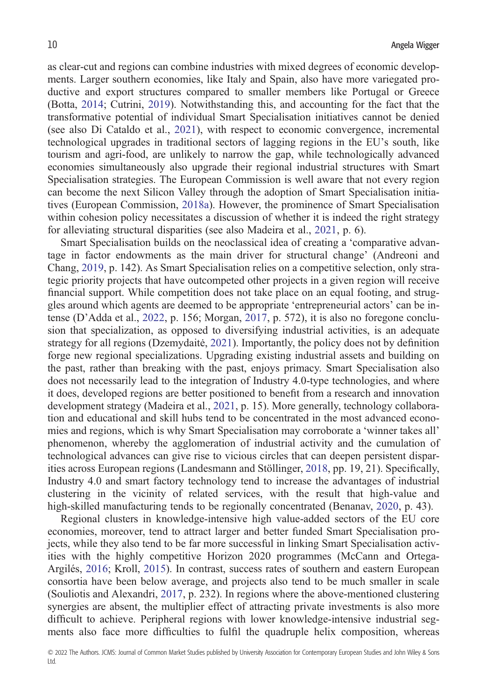as clear-cut and regions can combine industries with mixed degrees of economic developments. Larger southern economies, like Italy and Spain, also have more variegated productive and export structures compared to smaller members like Portugal or Greece (Botta, [2014](#page-13-0); Cutrini, [2019](#page-14-0)). Notwithstanding this, and accounting for the fact that the transformative potential of individual Smart Specialisation initiatives cannot be denied (see also Di Cataldo et al., [2021\)](#page-14-0), with respect to economic convergence, incremental technological upgrades in traditional sectors of lagging regions in the EU's south, like tourism and agri-food, are unlikely to narrow the gap, while technologically advanced economies simultaneously also upgrade their regional industrial structures with Smart Specialisation strategies. The European Commission is well aware that not every region can become the next Silicon Valley through the adoption of Smart Specialisation initiatives (European Commission, [2018a\)](#page-15-0). However, the prominence of Smart Specialisation within cohesion policy necessitates a discussion of whether it is indeed the right strategy for alleviating structural disparities (see also Madeira et al., [2021](#page-16-0), p. 6).

Smart Specialisation builds on the neoclassical idea of creating a 'comparative advantage in factor endowments as the main driver for structural change' (Andreoni and Chang, [2019](#page-13-0), p. 142). As Smart Specialisation relies on a competitive selection, only strategic priority projects that have outcompeted other projects in a given region will receive financial support. While competition does not take place on an equal footing, and struggles around which agents are deemed to be appropriate 'entrepreneurial actors' can be intense (D'Adda et al., [2022,](#page-14-0) p. 156; Morgan, [2017,](#page-16-0) p. 572), it is also no foregone conclusion that specialization, as opposed to diversifying industrial activities, is an adequate strategy for all regions (Dzemydaitė, [2021](#page-14-0)). Importantly, the policy does not by definition forge new regional specializations. Upgrading existing industrial assets and building on the past, rather than breaking with the past, enjoys primacy. Smart Specialisation also does not necessarily lead to the integration of Industry 4.0-type technologies, and where it does, developed regions are better positioned to benefit from a research and innovation development strategy (Madeira et al., [2021](#page-16-0), p. 15). More generally, technology collaboration and educational and skill hubs tend to be concentrated in the most advanced economies and regions, which is why Smart Specialisation may corroborate a 'winner takes all' phenomenon, whereby the agglomeration of industrial activity and the cumulation of technological advances can give rise to vicious circles that can deepen persistent disparities across European regions (Landesmann and Stöllinger, [2018](#page-16-0), pp. 19, 21). Specifically, Industry 4.0 and smart factory technology tend to increase the advantages of industrial clustering in the vicinity of related services, with the result that high-value and high-skilled manufacturing tends to be regionally concentrated (Benanav, [2020,](#page-13-0) p. 43).

Regional clusters in knowledge-intensive high value-added sectors of the EU core economies, moreover, tend to attract larger and better funded Smart Specialisation projects, while they also tend to be far more successful in linking Smart Specialisation activities with the highly competitive Horizon 2020 programmes (McCann and Ortega-Argilés, [2016](#page-16-0); Kroll, [2015](#page-16-0)). In contrast, success rates of southern and eastern European consortia have been below average, and projects also tend to be much smaller in scale (Souliotis and Alexandri, [2017,](#page-17-0) p. 232). In regions where the above-mentioned clustering synergies are absent, the multiplier effect of attracting private investments is also more difficult to achieve. Peripheral regions with lower knowledge-intensive industrial segments also face more difficulties to fulfil the quadruple helix composition, whereas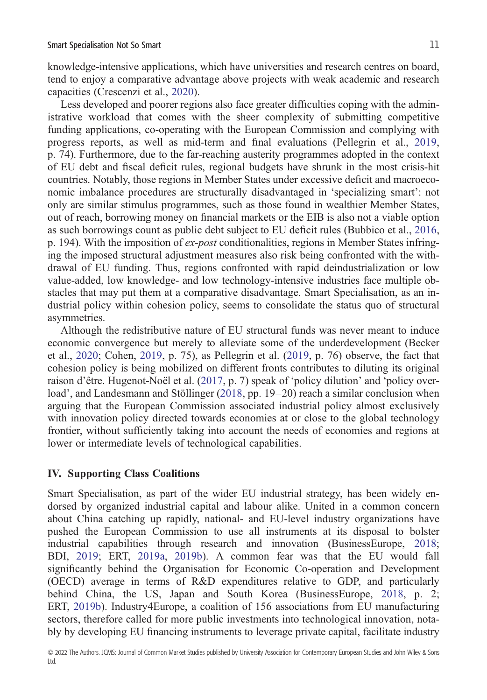knowledge-intensive applications, which have universities and research centres on board, tend to enjoy a comparative advantage above projects with weak academic and research capacities (Crescenzi et al., [2020\)](#page-14-0).

Less developed and poorer regions also face greater difficulties coping with the administrative workload that comes with the sheer complexity of submitting competitive funding applications, co-operating with the European Commission and complying with progress reports, as well as mid-term and final evaluations (Pellegrin et al., [2019](#page-16-0), p. 74). Furthermore, due to the far-reaching austerity programmes adopted in the context of EU debt and fiscal deficit rules, regional budgets have shrunk in the most crisis-hit countries. Notably, those regions in Member States under excessive deficit and macroeconomic imbalance procedures are structurally disadvantaged in 'specializing smart': not only are similar stimulus programmes, such as those found in wealthier Member States, out of reach, borrowing money on financial markets or the EIB is also not a viable option as such borrowings count as public debt subject to EU deficit rules (Bubbico et al., [2016,](#page-14-0) p. 194). With the imposition of *ex-post* conditionalities, regions in Member States infringing the imposed structural adjustment measures also risk being confronted with the withdrawal of EU funding. Thus, regions confronted with rapid deindustrialization or low value-added, low knowledge- and low technology-intensive industries face multiple obstacles that may put them at a comparative disadvantage. Smart Specialisation, as an industrial policy within cohesion policy, seems to consolidate the status quo of structural asymmetries.

Although the redistributive nature of EU structural funds was never meant to induce economic convergence but merely to alleviate some of the underdevelopment (Becker et al., [2020;](#page-13-0) Cohen, [2019](#page-14-0), p. 75), as Pellegrin et al. [\(2019](#page-16-0), p. 76) observe, the fact that cohesion policy is being mobilized on different fronts contributes to diluting its original raison d'être. Hugenot-Noël et al. ([2017,](#page-15-0) p. 7) speak of 'policy dilution' and 'policy over-load', and Landesmann and Stöllinger [\(2018](#page-16-0), pp. 19–20) reach a similar conclusion when arguing that the European Commission associated industrial policy almost exclusively with innovation policy directed towards economies at or close to the global technology frontier, without sufficiently taking into account the needs of economies and regions at lower or intermediate levels of technological capabilities.

## **IV. Supporting Class Coalitions**

Smart Specialisation, as part of the wider EU industrial strategy, has been widely endorsed by organized industrial capital and labour alike. United in a common concern about China catching up rapidly, national- and EU-level industry organizations have pushed the European Commission to use all instruments at its disposal to bolster industrial capabilities through research and innovation (BusinessEurope, [2018](#page-14-0); BDI, [2019;](#page-13-0) ERT, [2019a,](#page-14-0) [2019b](#page-14-0)). A common fear was that the EU would fall significantly behind the Organisation for Economic Co-operation and Development (OECD) average in terms of R&D expenditures relative to GDP, and particularly behind China, the US, Japan and South Korea (BusinessEurope, [2018](#page-14-0), p. 2; ERT, [2019b\)](#page-14-0). Industry4Europe, a coalition of 156 associations from EU manufacturing sectors, therefore called for more public investments into technological innovation, notably by developing EU financing instruments to leverage private capital, facilitate industry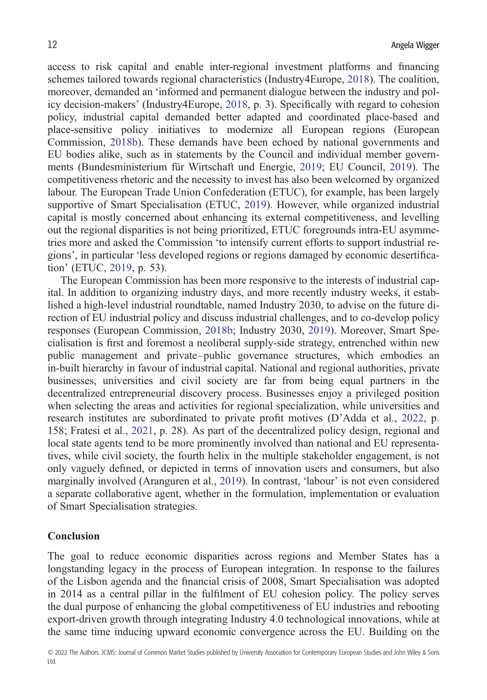access to risk capital and enable inter-regional investment platforms and financing schemes tailored towards regional characteristics (Industry4Europe, [2018\)](#page-16-0). The coalition, moreover, demanded an 'informed and permanent dialogue between the industry and policy decision-makers' (Industry4Europe, [2018](#page-16-0), p. 3). Specifically with regard to cohesion policy, industrial capital demanded better adapted and coordinated place-based and place-sensitive policy initiatives to modernize all European regions (European Commission, [2018b](#page-15-0)). These demands have been echoed by national governments and EU bodies alike, such as in statements by the Council and individual member governments (Bundesministerium für Wirtschaft und Energie, [2019](#page-14-0); EU Council, [2019\)](#page-14-0). The competitiveness rhetoric and the necessity to invest has also been welcomed by organized labour. The European Trade Union Confederation (ETUC), for example, has been largely supportive of Smart Specialisation (ETUC, [2019](#page-14-0)). However, while organized industrial capital is mostly concerned about enhancing its external competitiveness, and levelling out the regional disparities is not being prioritized, ETUC foregrounds intra-EU asymmetries more and asked the Commission 'to intensify current efforts to support industrial regions', in particular 'less developed regions or regions damaged by economic desertification' (ETUC, [2019](#page-14-0), p. 53).

The European Commission has been more responsive to the interests of industrial capital. In addition to organizing industry days, and more recently industry weeks, it established a high-level industrial roundtable, named Industry 2030, to advise on the future direction of EU industrial policy and discuss industrial challenges, and to co-develop policy responses (European Commission, [2018b;](#page-15-0) Industry 2030, [2019\)](#page-15-0). Moreover, Smart Specialisation is first and foremost a neoliberal supply-side strategy, entrenched within new public management and private–public governance structures, which embodies an in-built hierarchy in favour of industrial capital. National and regional authorities, private businesses, universities and civil society are far from being equal partners in the decentralized entrepreneurial discovery process. Businesses enjoy a privileged position when selecting the areas and activities for regional specialization, while universities and research institutes are subordinated to private profit motives (D'Adda et al., [2022,](#page-14-0) p. 158; Fratesi et al., [2021,](#page-15-0) p. 28). As part of the decentralized policy design, regional and local state agents tend to be more prominently involved than national and EU representatives, while civil society, the fourth helix in the multiple stakeholder engagement, is not only vaguely defined, or depicted in terms of innovation users and consumers, but also marginally involved (Aranguren et al., [2019\)](#page-13-0). In contrast, 'labour' is not even considered a separate collaborative agent, whether in the formulation, implementation or evaluation of Smart Specialisation strategies.

### **Conclusion**

The goal to reduce economic disparities across regions and Member States has a longstanding legacy in the process of European integration. In response to the failures of the Lisbon agenda and the financial crisis of 2008, Smart Specialisation was adopted in 2014 as a central pillar in the fulfilment of EU cohesion policy. The policy serves the dual purpose of enhancing the global competitiveness of EU industries and rebooting export-driven growth through integrating Industry 4.0 technological innovations, while at the same time inducing upward economic convergence across the EU. Building on the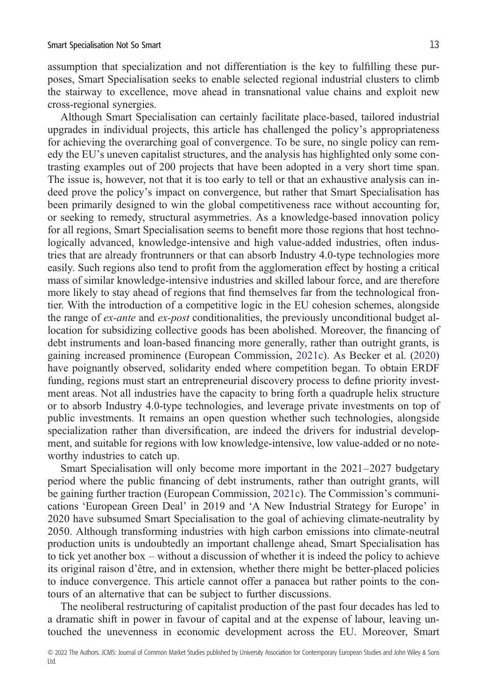assumption that specialization and not differentiation is the key to fulfilling these purposes, Smart Specialisation seeks to enable selected regional industrial clusters to climb the stairway to excellence, move ahead in transnational value chains and exploit new cross-regional synergies.

Although Smart Specialisation can certainly facilitate place-based, tailored industrial upgrades in individual projects, this article has challenged the policy's appropriateness for achieving the overarching goal of convergence. To be sure, no single policy can remedy the EU's uneven capitalist structures, and the analysis has highlighted only some contrasting examples out of 200 projects that have been adopted in a very short time span. The issue is, however, not that it is too early to tell or that an exhaustive analysis can indeed prove the policy's impact on convergence, but rather that Smart Specialisation has been primarily designed to win the global competitiveness race without accounting for, or seeking to remedy, structural asymmetries. As a knowledge-based innovation policy for all regions, Smart Specialisation seems to benefit more those regions that host technologically advanced, knowledge-intensive and high value-added industries, often industries that are already frontrunners or that can absorb Industry 4.0-type technologies more easily. Such regions also tend to profit from the agglomeration effect by hosting a critical mass of similar knowledge-intensive industries and skilled labour force, and are therefore more likely to stay ahead of regions that find themselves far from the technological frontier. With the introduction of a competitive logic in the EU cohesion schemes, alongside the range of *ex-ante* and *ex-post* conditionalities, the previously unconditional budget allocation for subsidizing collective goods has been abolished. Moreover, the financing of debt instruments and loan-based financing more generally, rather than outright grants, is gaining increased prominence (European Commission, [2021c\)](#page-15-0). As Becker et al. ([2020\)](#page-13-0) have poignantly observed, solidarity ended where competition began. To obtain ERDF funding, regions must start an entrepreneurial discovery process to define priority investment areas. Not all industries have the capacity to bring forth a quadruple helix structure or to absorb Industry 4.0-type technologies, and leverage private investments on top of public investments. It remains an open question whether such technologies, alongside specialization rather than diversification, are indeed the drivers for industrial development, and suitable for regions with low knowledge-intensive, low value-added or no noteworthy industries to catch up.

Smart Specialisation will only become more important in the 2021–2027 budgetary period where the public financing of debt instruments, rather than outright grants, will be gaining further traction (European Commission, [2021c](#page-15-0)). The Commission's communications 'European Green Deal' in 2019 and 'A New Industrial Strategy for Europe' in 2020 have subsumed Smart Specialisation to the goal of achieving climate-neutrality by 2050. Although transforming industries with high carbon emissions into climate-neutral production units is undoubtedly an important challenge ahead, Smart Specialisation has to tick yet another box – without a discussion of whether it is indeed the policy to achieve its original raison d'être, and in extension, whether there might be better-placed policies to induce convergence. This article cannot offer a panacea but rather points to the contours of an alternative that can be subject to further discussions.

The neoliberal restructuring of capitalist production of the past four decades has led to a dramatic shift in power in favour of capital and at the expense of labour, leaving untouched the unevenness in economic development across the EU. Moreover, Smart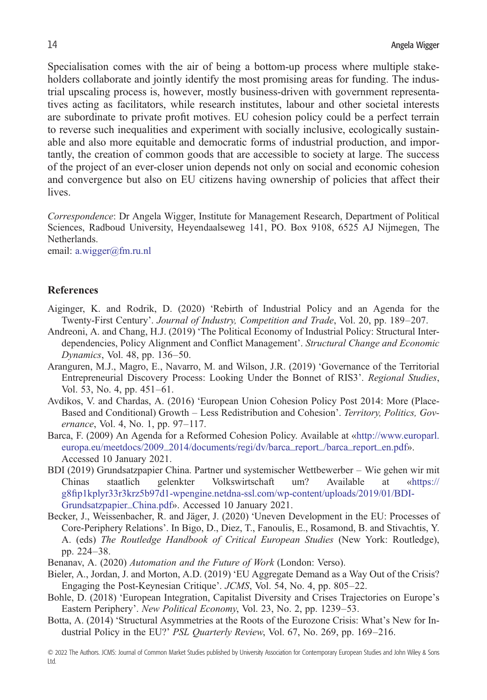<span id="page-13-0"></span>Specialisation comes with the air of being a bottom-up process where multiple stakeholders collaborate and jointly identify the most promising areas for funding. The industrial upscaling process is, however, mostly business-driven with government representatives acting as facilitators, while research institutes, labour and other societal interests are subordinate to private profit motives. EU cohesion policy could be a perfect terrain to reverse such inequalities and experiment with socially inclusive, ecologically sustainable and also more equitable and democratic forms of industrial production, and importantly, the creation of common goods that are accessible to society at large. The success of the project of an ever-closer union depends not only on social and economic cohesion and convergence but also on EU citizens having ownership of policies that affect their lives.

*Correspondence*: Dr Angela Wigger, Institute for Management Research, Department of Political Sciences, Radboud University, Heyendaalseweg 141, PO. Box 9108, 6525 AJ Nijmegen, The Netherlands.

email: [a.wigger@fm.ru.nl](mailto:a.wigger@fm.ru.nl)

## **References**

- Aiginger, K. and Rodrik, D. (2020) 'Rebirth of Industrial Policy and an Agenda for the Twenty-First Century'. *Journal of Industry, Competition and Trade*, Vol. 20, pp. 189–207.
- Andreoni, A. and Chang, H.J. (2019) 'The Political Economy of Industrial Policy: Structural Interdependencies, Policy Alignment and Conflict Management'. *Structural Change and Economic Dynamics*, Vol. 48, pp. 136–50.
- Aranguren, M.J., Magro, E., Navarro, M. and Wilson, J.R. (2019) 'Governance of the Territorial Entrepreneurial Discovery Process: Looking Under the Bonnet of RIS3'. *Regional Studies*, Vol. 53, No. 4, pp. 451–61.
- Avdikos, V. and Chardas, A. (2016) 'European Union Cohesion Policy Post 2014: More (Place-Based and Conditional) Growth – Less Redistribution and Cohesion'. *Territory, Politics, Governance*, Vol. 4, No. 1, pp. 97–117.
- Barca, F. (2009) An Agenda for a Reformed Cohesion Policy. Available at «[http://www.europarl.](http://www.europarl.europa.eu/meetdocs/2009_2014/documents/regi/dv/barca_report_/barca_report_en.pdf) [europa.eu/meetdocs/2009\\_2014/documents/regi/dv/barca\\_report\\_/barca\\_report\\_en.pdf](http://www.europarl.europa.eu/meetdocs/2009_2014/documents/regi/dv/barca_report_/barca_report_en.pdf)». Accessed 10 January 2021.
- BDI (2019) Grundsatzpapier China. Partner und systemischer Wettbewerber Wie gehen wir mit Chinas staatlich gelenkter Volkswirtschaft um? Available at «[https://](https://g8fip1kplyr33r3krz5b97d1-wpengine.netdna-ssl.com/wp-content/uploads/2019/01/BDI-Grundsatzpapier_China.pdf) g8fi[p1kplyr33r3krz5b97d1-wpengine.netdna-ssl.com/wp-content/uploads/2019/01/BDI-](https://g8fip1kplyr33r3krz5b97d1-wpengine.netdna-ssl.com/wp-content/uploads/2019/01/BDI-Grundsatzpapier_China.pdf)[Grundsatzpapier\\_China.pdf](https://g8fip1kplyr33r3krz5b97d1-wpengine.netdna-ssl.com/wp-content/uploads/2019/01/BDI-Grundsatzpapier_China.pdf)». Accessed 10 January 2021.
- Becker, J., Weissenbacher, R. and Jäger, J. (2020) 'Uneven Development in the EU: Processes of Core-Periphery Relations'. In Bigo, D., Diez, T., Fanoulis, E., Rosamond, B. and Stivachtis, Y. A. (eds) *The Routledge Handbook of Critical European Studies* (New York: Routledge), pp. 224–38.
- Benanav, A. (2020) *Automation and the Future of Work* (London: Verso).
- Bieler, A., Jordan, J. and Morton, A.D. (2019) 'EU Aggregate Demand as a Way Out of the Crisis? Engaging the Post-Keynesian Critique'. *JCMS*, Vol. 54, No. 4, pp. 805–22.
- Bohle, D. (2018) 'European Integration, Capitalist Diversity and Crises Trajectories on Europe's Eastern Periphery'. *New Political Economy*, Vol. 23, No. 2, pp. 1239–53.
- Botta, A. (2014) 'Structural Asymmetries at the Roots of the Eurozone Crisis: What's New for Industrial Policy in the EU?' *PSL Quarterly Review*, Vol. 67, No. 269, pp. 169–216.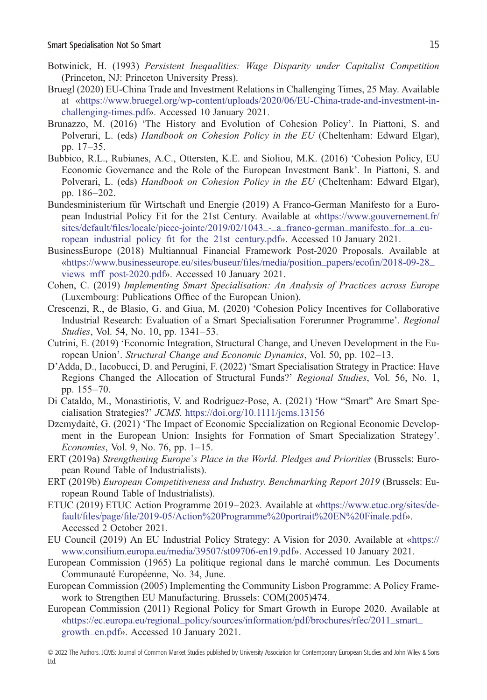- <span id="page-14-0"></span>Botwinick, H. (1993) *Persistent Inequalities: Wage Disparity under Capitalist Competition* (Princeton, NJ: Princeton University Press).
- Bruegl (2020) EU-China Trade and Investment Relations in Challenging Times, 25 May. Available at [«https://www.bruegel.org/wp-content/uploads/2020/06/EU-China-trade-and-investment-in](https://www.bruegel.org/wp-content/uploads/2020/06/EU-China-trade-and-investment-in-challenging-times.pdf)[challenging-times.pdf»](https://www.bruegel.org/wp-content/uploads/2020/06/EU-China-trade-and-investment-in-challenging-times.pdf). Accessed 10 January 2021.
- Brunazzo, M. (2016) 'The History and Evolution of Cohesion Policy'. In Piattoni, S. and Polverari, L. (eds) *Handbook on Cohesion Policy in the EU* (Cheltenham: Edward Elgar), pp. 17–35.
- Bubbico, R.L., Rubianes, A.C., Ottersten, K.E. and Sioliou, M.K. (2016) 'Cohesion Policy, EU Economic Governance and the Role of the European Investment Bank'. In Piattoni, S. and Polverari, L. (eds) *Handbook on Cohesion Policy in the EU* (Cheltenham: Edward Elgar), pp. 186–202.
- Bundesministerium für Wirtschaft und Energie (2019) A Franco-German Manifesto for a European Industrial Policy Fit for the 21st Century. Available at «[https://www.gouvernement.fr/](https://www.gouvernement.fr/sites/default/files/locale/piece-jointe/2019/02/1043_-_a_franco-german_manifesto_for_a_european_industrial_policy_fit_for_the_21st_century.pdf) sites/default/fi[les/locale/piece-jointe/2019/02/1043\\_-\\_a\\_franco-german\\_manifesto\\_for\\_a\\_eu](https://www.gouvernement.fr/sites/default/files/locale/piece-jointe/2019/02/1043_-_a_franco-german_manifesto_for_a_european_industrial_policy_fit_for_the_21st_century.pdf)ropean\_industrial\_policy\_fi[t\\_for\\_the\\_21st\\_century.pdf»](https://www.gouvernement.fr/sites/default/files/locale/piece-jointe/2019/02/1043_-_a_franco-german_manifesto_for_a_european_industrial_policy_fit_for_the_21st_century.pdf). Accessed 10 January 2021.
- BusinessEurope (2018) Multiannual Financial Framework Post-2020 Proposals. Available at [«https://www.businesseurope.eu/sites/buseur/](https://www.businesseurope.eu/sites/buseur/files/media/position_papers/ecofin/2018-09-28_views_mff_post-2020.pdf)files/media/position\_papers/ecofin/2018-09-28\_ [views\\_mff\\_post-2020.pdf](https://www.businesseurope.eu/sites/buseur/files/media/position_papers/ecofin/2018-09-28_views_mff_post-2020.pdf)». Accessed 10 January 2021.
- Cohen, C. (2019) *Implementing Smart Specialisation: An Analysis of Practices across Europe* (Luxembourg: Publications Office of the European Union).
- Crescenzi, R., de Blasio, G. and Giua, M. (2020) 'Cohesion Policy Incentives for Collaborative Industrial Research: Evaluation of a Smart Specialisation Forerunner Programme'. *Regional Studies*, Vol. 54, No. 10, pp. 1341–53.
- Cutrini, E. (2019) 'Economic Integration, Structural Change, and Uneven Development in the European Union'. *Structural Change and Economic Dynamics*, Vol. 50, pp. 102–13.
- D'Adda, D., Iacobucci, D. and Perugini, F. (2022) 'Smart Specialisation Strategy in Practice: Have Regions Changed the Allocation of Structural Funds?' *Regional Studies*, Vol. 56, No. 1, pp. 155–70.
- Di Cataldo, M., Monastiriotis, V. and Rodríguez-Pose, A. (2021) 'How "Smart" Are Smart Specialisation Strategies?' *JCMS*. <https://doi.org/10.1111/jcms.13156>
- Dzemydaitė, G. (2021) 'The Impact of Economic Specialization on Regional Economic Development in the European Union: Insights for Formation of Smart Specialization Strategy'. *Economies*, Vol. 9, No. 76, pp. 1–15.
- ERT (2019a) *Strengthening Europe's Place in the World. Pledges and Priorities* (Brussels: European Round Table of Industrialists).
- ERT (2019b) *European Competitiveness and Industry. Benchmarking Report 2019* (Brussels: European Round Table of Industrialists).
- ETUC (2019) ETUC Action Programme 2019–2023. Available at «[https://www.etuc.org/sites/de](https://www.etuc.org/sites/default/files/page/file/2019-05/Action%20Programme%20portrait%20EN%20Finale.pdf)fault/files/page/fi[le/2019-05/Action%20Programme%20portrait%20EN%20Finale.pdf](https://www.etuc.org/sites/default/files/page/file/2019-05/Action%20Programme%20portrait%20EN%20Finale.pdf)». Accessed 2 October 2021.
- EU Council (2019) An EU Industrial Policy Strategy: A Vision for 2030. Available at «[https://](https://www.consilium.europa.eu/media/39507/st09706-en19.pdf) [www.consilium.europa.eu/media/39507/st09706-en19.pdf»](https://www.consilium.europa.eu/media/39507/st09706-en19.pdf). Accessed 10 January 2021.
- European Commission (1965) La politique regional dans le marché commun. Les Documents Communauté Européenne, No. 34, June.
- European Commission (2005) Implementing the Community Lisbon Programme: A Policy Framework to Strengthen EU Manufacturing. Brussels: COM(2005)474.
- European Commission (2011) Regional Policy for Smart Growth in Europe 2020. Available at [«https://ec.europa.eu/regional\\_policy/sources/information/pdf/brochures/rfec/2011\\_smart\\_](https://ec.europa.eu/regional_policy/sources/information/pdf/brochures/rfec/2011_smart_growth_en.pdf) [growth\\_en.pdf»](https://ec.europa.eu/regional_policy/sources/information/pdf/brochures/rfec/2011_smart_growth_en.pdf). Accessed 10 January 2021.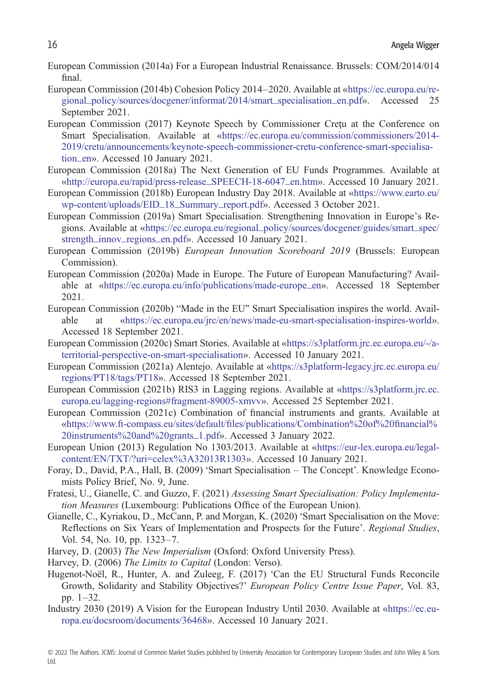- <span id="page-15-0"></span>European Commission (2014a) For a European Industrial Renaissance. Brussels: COM/2014/014 final.
- European Commission (2014b) Cohesion Policy 2014–2020. Available at [«https://ec.europa.eu/re](https://ec.europa.eu/regional_policy/sources/docgener/informat/2014/smart_specialisation_en.pdf)[gional\\_policy/sources/docgener/informat/2014/smart\\_specialisation\\_en.pdf](https://ec.europa.eu/regional_policy/sources/docgener/informat/2014/smart_specialisation_en.pdf)». Accessed 25 September 2021.
- European Commission (2017) Keynote Speech by Commissioner Creţu at the Conference on Smart Specialisation. Available at «[https://ec.europa.eu/commission/commissioners/2014-](https://ec.europa.eu/commission/commissioners/2014-2019/cretu/announcements/keynote-speech-commissioner-cretu-conference-smart-specialisation_en) [2019/cretu/announcements/keynote-speech-commissioner-cretu-conference-smart-specialisa](https://ec.europa.eu/commission/commissioners/2014-2019/cretu/announcements/keynote-speech-commissioner-cretu-conference-smart-specialisation_en)[tion\\_en](https://ec.europa.eu/commission/commissioners/2014-2019/cretu/announcements/keynote-speech-commissioner-cretu-conference-smart-specialisation_en)». Accessed 10 January 2021.
- European Commission (2018a) The Next Generation of EU Funds Programmes. Available at [«http://europa.eu/rapid/press-release\\_SPEECH-18-6047\\_en.htm](http://europa.eu/rapid/press-release_SPEECH-18-6047_en.htm)». Accessed 10 January 2021.
- European Commission (2018b) European Industry Day 2018. Available at [«https://www.earto.eu/](https://www.earto.eu/wp-content/uploads/EID_18_Summary_report.pdf) [wp-content/uploads/EID\\_18\\_Summary\\_report.pdf»](https://www.earto.eu/wp-content/uploads/EID_18_Summary_report.pdf). Accessed 3 October 2021.
- European Commission (2019a) Smart Specialisation. Strengthening Innovation in Europe's Regions. Available at «[https://ec.europa.eu/regional\\_policy/sources/docgener/guides/smart\\_spec/](https://ec.europa.eu/regional_policy/sources/docgener/guides/smart_spec/strength_innov_regions_en.pdf) [strength\\_innov\\_regions\\_en.pdf](https://ec.europa.eu/regional_policy/sources/docgener/guides/smart_spec/strength_innov_regions_en.pdf)». Accessed 10 January 2021.
- European Commission (2019b) *European Innovation Scoreboard 2019* (Brussels: European Commission).
- European Commission (2020a) Made in Europe. The Future of European Manufacturing? Available at [«https://ec.europa.eu/info/publications/made-europe\\_en»](https://ec.europa.eu/info/publications/made-europe_en). Accessed 18 September 2021.
- European Commission (2020b) "Made in the EU" Smart Specialisation inspires the world. Available at «[https://ec.europa.eu/jrc/en/news/made-eu-smart-specialisation-inspires-world»](https://ec.europa.eu/jrc/en/news/made-eu-smart-specialisation-inspires-world). Accessed 18 September 2021.
- European Commission (2020c) Smart Stories. Available at [«https://s3platform.jrc.ec.europa.eu/-/a](https://s3platform.jrc.ec.europa.eu/-/a-territorial-perspective-on-smart-specialisation)[territorial-perspective-on-smart-specialisation»](https://s3platform.jrc.ec.europa.eu/-/a-territorial-perspective-on-smart-specialisation). Accessed 10 January 2021.
- European Commission (2021a) Alentejo. Available at [«https://s3platform-legacy.jrc.ec.europa.eu/](https://s3platform-legacy.jrc.ec.europa.eu/regions/PT18/tags/PT18) [regions/PT18/tags/PT18»](https://s3platform-legacy.jrc.ec.europa.eu/regions/PT18/tags/PT18). Accessed 18 September 2021.
- European Commission (2021b) RIS3 in Lagging regions. Available at [«https://s3platform.jrc.ec.](https://s3platform.jrc.ec.europa.eu/lagging-regions#fragment-89005-xmvv) [europa.eu/lagging-regions#fragment-89005-xmvv»](https://s3platform.jrc.ec.europa.eu/lagging-regions#fragment-89005-xmvv). Accessed 25 September 2021.
- European Commission (2021c) Combination of financial instruments and grants. Available at «https://www.fi-compass.eu/sites/default/fi[les/publications/Combination%20of%20](https://www.fi-compass.eu/sites/default/files/publications/Combination%20of%20financial%20instruments%20and%20grants_1.pdf)financial% [20instruments%20and%20grants\\_1.pdf](https://www.fi-compass.eu/sites/default/files/publications/Combination%20of%20financial%20instruments%20and%20grants_1.pdf)». Accessed 3 January 2022.
- European Union (2013) Regulation No 1303/2013. Available at [«https://eur-lex.europa.eu/legal](https://eur-lex.europa.eu/legal-content/EN/TXT/?uri=celex%3A32013R1303)[content/EN/TXT/?uri=celex%3A32013R1303](https://eur-lex.europa.eu/legal-content/EN/TXT/?uri=celex%3A32013R1303)». Accessed 10 January 2021.
- Foray, D., David, P.A., Hall, B. (2009) 'Smart Specialisation The Concept'. Knowledge Economists Policy Brief, No. 9, June.
- Fratesi, U., Gianelle, C. and Guzzo, F. (2021) *Assessing Smart Specialisation: Policy Implementation Measures* (Luxembourg: Publications Office of the European Union).
- Gianelle, C., Kyriakou, D., McCann, P. and Morgan, K. (2020) 'Smart Specialisation on the Move: Reflections on Six Years of Implementation and Prospects for the Future'. *Regional Studies*, Vol. 54, No. 10, pp. 1323–7.
- Harvey, D. (2003) *The New Imperialism* (Oxford: Oxford University Press).
- Harvey, D. (2006) *The Limits to Capital* (London: Verso).
- Hugenot-Noël, R., Hunter, A. and Zuleeg, F. (2017) 'Can the EU Structural Funds Reconcile Growth, Solidarity and Stability Objectives?' *European Policy Centre Issue Paper*, Vol. 83, pp. 1–32.
- Industry 2030 (2019) A Vision for the European Industry Until 2030. Available at «[https://ec.eu](https://ec.europa.eu/docsroom/documents/36468)[ropa.eu/docsroom/documents/36468](https://ec.europa.eu/docsroom/documents/36468)». Accessed 10 January 2021.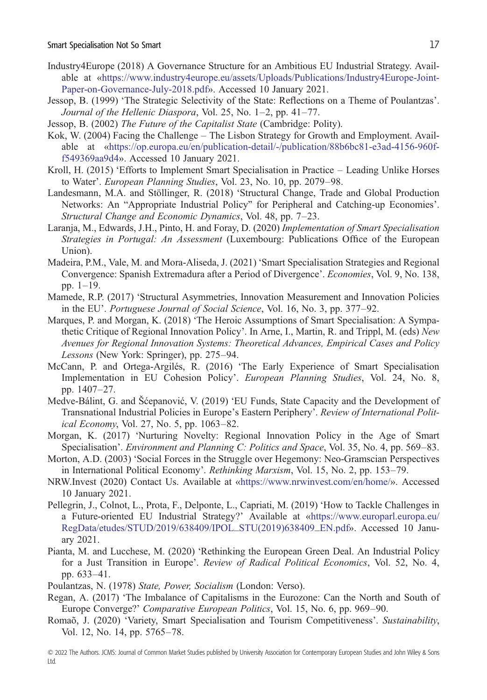- <span id="page-16-0"></span>Industry4Europe (2018) A Governance Structure for an Ambitious EU Industrial Strategy. Available at [«https://www.industry4europe.eu/assets/Uploads/Publications/Industry4Europe-Joint-](https://www.industry4europe.eu/assets/Uploads/Publications/Industry4Europe-Joint-Paper-on-Governance-July-2018.pdf)[Paper-on-Governance-July-2018.pdf»](https://www.industry4europe.eu/assets/Uploads/Publications/Industry4Europe-Joint-Paper-on-Governance-July-2018.pdf). Accessed 10 January 2021.
- Jessop, B. (1999) 'The Strategic Selectivity of the State: Reflections on a Theme of Poulantzas'. *Journal of the Hellenic Diaspora*, Vol. 25, No. 1–2, pp. 41–77.
- Jessop, B. (2002) *The Future of the Capitalist State* (Cambridge: Polity).
- Kok, W. (2004) Facing the Challenge The Lisbon Strategy for Growth and Employment. Available at «[https://op.europa.eu/en/publication-detail/-/publication/88b6bc81-e3ad-4156-960f](https://op.europa.eu/en/publication-detail/-/publication/88b6bc81-e3ad-4156-960f-f549369aa9d4)[f549369aa9d4](https://op.europa.eu/en/publication-detail/-/publication/88b6bc81-e3ad-4156-960f-f549369aa9d4)». Accessed 10 January 2021.
- Kroll, H. (2015) 'Efforts to Implement Smart Specialisation in Practice Leading Unlike Horses to Water'. *European Planning Studies*, Vol. 23, No. 10, pp. 2079–98.
- Landesmann, M.A. and Stöllinger, R. (2018) 'Structural Change, Trade and Global Production Networks: An "Appropriate Industrial Policy" for Peripheral and Catching-up Economies'. *Structural Change and Economic Dynamics*, Vol. 48, pp. 7–23.
- Laranja, M., Edwards, J.H., Pinto, H. and Foray, D. (2020) *Implementation of Smart Specialisation Strategies in Portugal: An Assessment* (Luxembourg: Publications Office of the European Union).
- Madeira, P.M., Vale, M. and Mora-Aliseda, J. (2021) 'Smart Specialisation Strategies and Regional Convergence: Spanish Extremadura after a Period of Divergence'. *Economies*, Vol. 9, No. 138, pp. 1–19.
- Mamede, R.P. (2017) 'Structural Asymmetries, Innovation Measurement and Innovation Policies in the EU'. *Portuguese Journal of Social Science*, Vol. 16, No. 3, pp. 377–92.
- Marques, P. and Morgan, K. (2018) 'The Heroic Assumptions of Smart Specialisation: A Sympathetic Critique of Regional Innovation Policy'. In Arne, I., Martin, R. and Trippl, M. (eds) *New Avenues for Regional Innovation Systems: Theoretical Advances, Empirical Cases and Policy Lessons* (New York: Springer), pp. 275–94.
- McCann, P. and Ortega-Argilés, R. (2016) 'The Early Experience of Smart Specialisation Implementation in EU Cohesion Policy'. *European Planning Studies*, Vol. 24, No. 8, pp. 1407–27.
- Medve-Bálint, G. and Šćepanović, V. (2019) 'EU Funds, State Capacity and the Development of Transnational Industrial Policies in Europe's Eastern Periphery'. *Review of International Political Economy*, Vol. 27, No. 5, pp. 1063–82.
- Morgan, K. (2017) 'Nurturing Novelty: Regional Innovation Policy in the Age of Smart Specialisation'. *Environment and Planning C: Politics and Space*, Vol. 35, No. 4, pp. 569–83.
- Morton, A.D. (2003) 'Social Forces in the Struggle over Hegemony: Neo-Gramscian Perspectives in International Political Economy'. *Rethinking Marxism*, Vol. 15, No. 2, pp. 153–79.
- NRW.Invest (2020) Contact Us. Available at [«https://www.nrwinvest.com/en/home/»](https://www.nrwinvest.com/en/home/). Accessed 10 January 2021.
- Pellegrin, J., Colnot, L., Prota, F., Delponte, L., Capriati, M. (2019) 'How to Tackle Challenges in a Future-oriented EU Industrial Strategy?' Available at [«https://www.europarl.europa.eu/](https://www.europarl.europa.eu/RegData/etudes/STUD/2019/638409/IPOL_STU(2019)638409_EN.pdf) [RegData/etudes/STUD/2019/638409/IPOL\\_STU\(2019\)638409\\_EN.pdf](https://www.europarl.europa.eu/RegData/etudes/STUD/2019/638409/IPOL_STU(2019)638409_EN.pdf)». Accessed 10 January 2021.
- Pianta, M. and Lucchese, M. (2020) 'Rethinking the European Green Deal. An Industrial Policy for a Just Transition in Europe'. *Review of Radical Political Economics*, Vol. 52, No. 4, pp. 633–41.
- Poulantzas, N. (1978) *State, Power, Socialism* (London: Verso).
- Regan, A. (2017) 'The Imbalance of Capitalisms in the Eurozone: Can the North and South of Europe Converge?' *Comparative European Politics*, Vol. 15, No. 6, pp. 969–90.
- Romaõ, J. (2020) 'Variety, Smart Specialisation and Tourism Competitiveness'. *Sustainability*, Vol. 12, No. 14, pp. 5765–78.
- © 2022 The Authors. JCMS: Journal of Common Market Studies published by University Association for Contemporary European Studies and John Wiley & Sons Ltd.